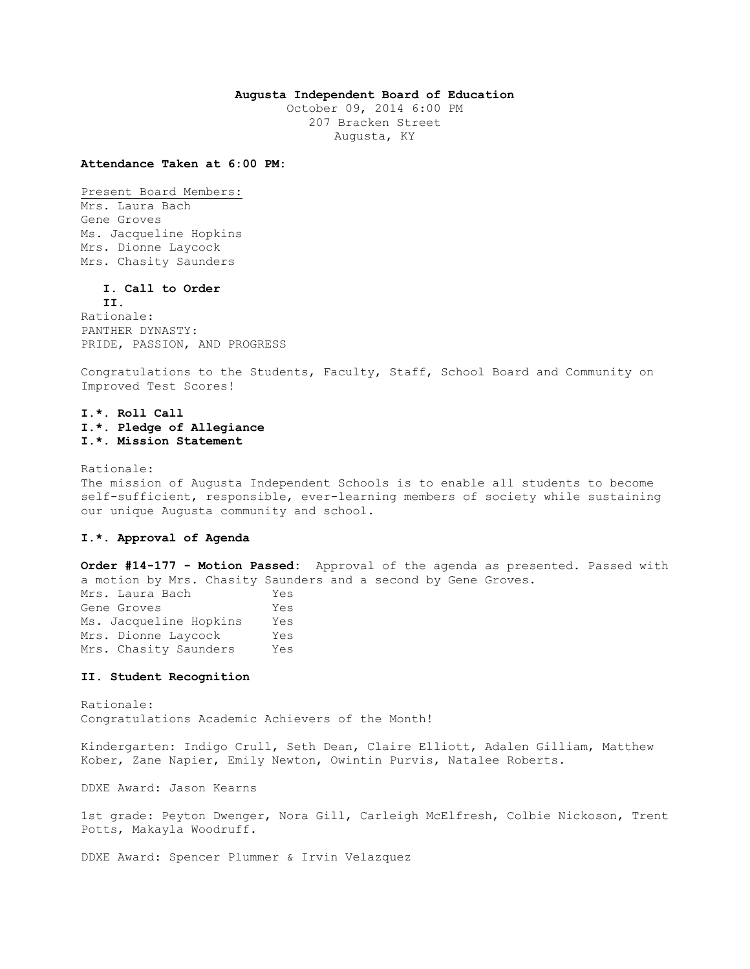## **Augusta Independent Board of Education**

October 09, 2014 6:00 PM 207 Bracken Street Augusta, KY

**Attendance Taken at 6:00 PM:**

Present Board Members:

Mrs. Laura Bach Gene Groves Ms. Jacqueline Hopkins Mrs. Dionne Laycock Mrs. Chasity Saunders

**I. Call to Order** 

**II.** Rationale: PANTHER DYNASTY: PRIDE, PASSION, AND PROGRESS

Congratulations to the Students, Faculty, Staff, School Board and Community on Improved Test Scores!

# **I.\*. Roll Call I.\*. Pledge of Allegiance I.\*. Mission Statement**

Rationale: The mission of Augusta Independent Schools is to enable all students to become self-sufficient, responsible, ever-learning members of society while sustaining our unique Augusta community and school.

## **I.\*. Approval of Agenda**

**Order #14-177 - Motion Passed:** Approval of the agenda as presented. Passed with a motion by Mrs. Chasity Saunders and a second by Gene Groves. Mrs. Laura Bach Yes Gene Groves Tes Ms. Jacqueline Hopkins Yes Mrs. Dionne Laycock Yes Mrs. Chasity Saunders Yes

### **II. Student Recognition**

Rationale: Congratulations Academic Achievers of the Month!

Kindergarten: Indigo Crull, Seth Dean, Claire Elliott, Adalen Gilliam, Matthew Kober, Zane Napier, Emily Newton, Owintin Purvis, Natalee Roberts.

DDXE Award: Jason Kearns

1st grade: Peyton Dwenger, Nora Gill, Carleigh McElfresh, Colbie Nickoson, Trent Potts, Makayla Woodruff.

DDXE Award: Spencer Plummer & Irvin Velazquez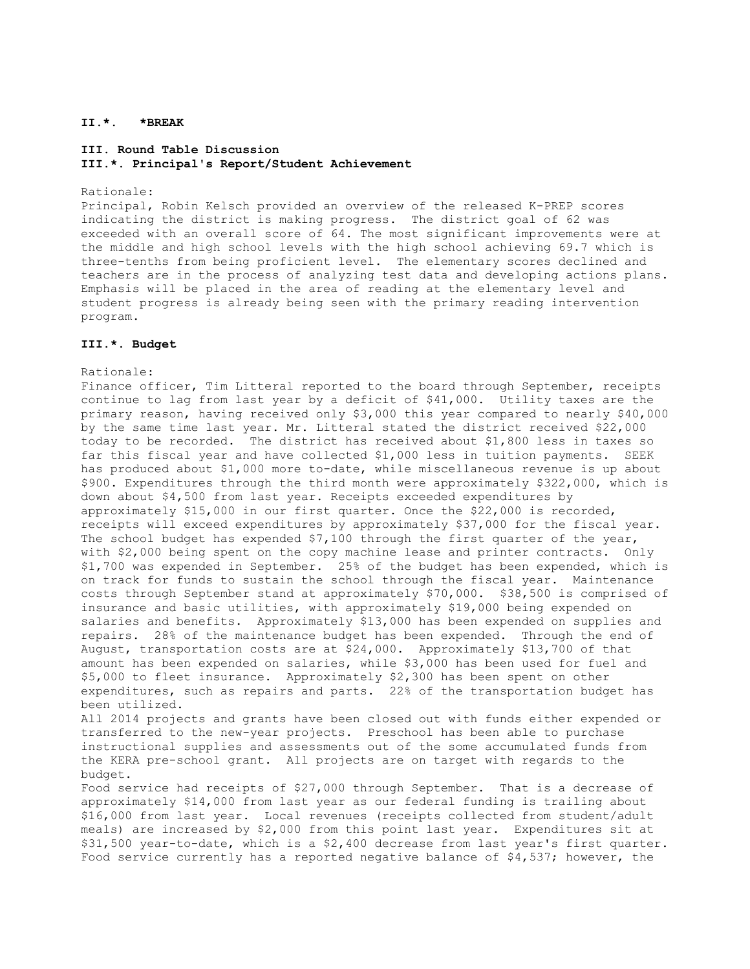# **II.\*. \*BREAK**

# **III. Round Table Discussion III.\*. Principal's Report/Student Achievement**

### Rationale:

Principal, Robin Kelsch provided an overview of the released K-PREP scores indicating the district is making progress. The district goal of 62 was exceeded with an overall score of 64. The most significant improvements were at the middle and high school levels with the high school achieving 69.7 which is three-tenths from being proficient level. The elementary scores declined and teachers are in the process of analyzing test data and developing actions plans. Emphasis will be placed in the area of reading at the elementary level and student progress is already being seen with the primary reading intervention program.

## **III.\*. Budget**

### Rationale:

Finance officer, Tim Litteral reported to the board through September, receipts continue to lag from last year by a deficit of \$41,000. Utility taxes are the primary reason, having received only \$3,000 this year compared to nearly \$40,000 by the same time last year. Mr. Litteral stated the district received \$22,000 today to be recorded. The district has received about \$1,800 less in taxes so far this fiscal year and have collected \$1,000 less in tuition payments. SEEK has produced about \$1,000 more to-date, while miscellaneous revenue is up about \$900. Expenditures through the third month were approximately \$322,000, which is down about \$4,500 from last year. Receipts exceeded expenditures by approximately \$15,000 in our first quarter. Once the \$22,000 is recorded, receipts will exceed expenditures by approximately \$37,000 for the fiscal year. The school budget has expended \$7,100 through the first quarter of the year, with \$2,000 being spent on the copy machine lease and printer contracts. Only \$1,700 was expended in September. 25% of the budget has been expended, which is on track for funds to sustain the school through the fiscal year. Maintenance costs through September stand at approximately \$70,000. \$38,500 is comprised of insurance and basic utilities, with approximately \$19,000 being expended on salaries and benefits. Approximately \$13,000 has been expended on supplies and repairs. 28% of the maintenance budget has been expended. Through the end of August, transportation costs are at \$24,000. Approximately \$13,700 of that amount has been expended on salaries, while \$3,000 has been used for fuel and \$5,000 to fleet insurance. Approximately \$2,300 has been spent on other expenditures, such as repairs and parts. 22% of the transportation budget has been utilized. All 2014 projects and grants have been closed out with funds either expended or

transferred to the new-year projects. Preschool has been able to purchase instructional supplies and assessments out of the some accumulated funds from the KERA pre-school grant. All projects are on target with regards to the budget.

Food service had receipts of \$27,000 through September. That is a decrease of approximately \$14,000 from last year as our federal funding is trailing about \$16,000 from last year. Local revenues (receipts collected from student/adult meals) are increased by \$2,000 from this point last year. Expenditures sit at \$31,500 year-to-date, which is a \$2,400 decrease from last year's first quarter. Food service currently has a reported negative balance of \$4,537; however, the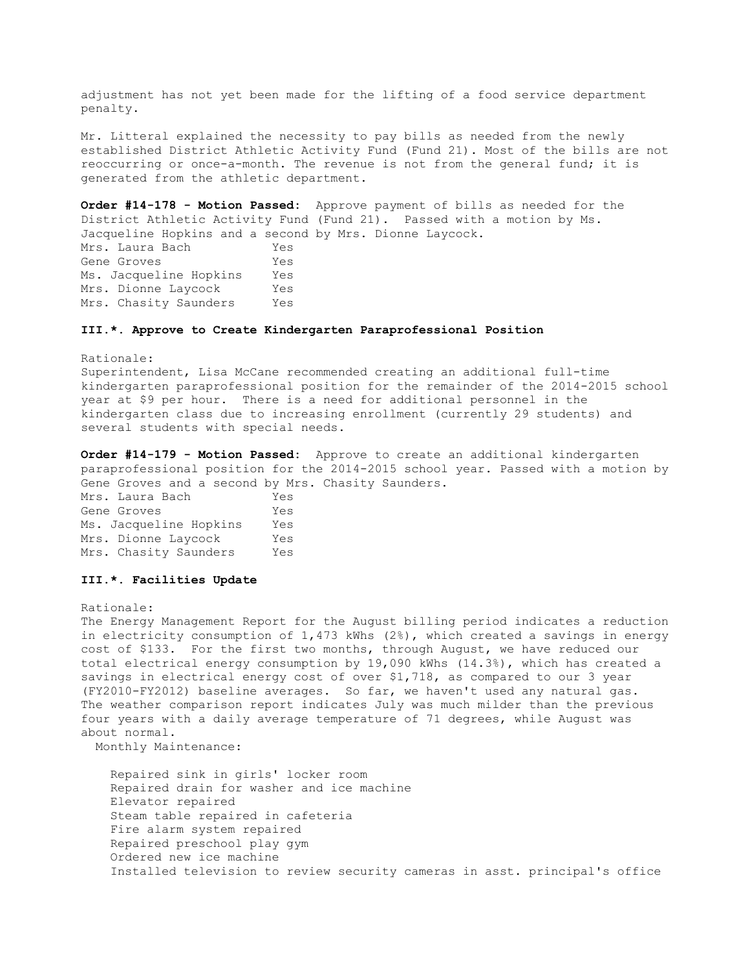adjustment has not yet been made for the lifting of a food service department penalty.

Mr. Litteral explained the necessity to pay bills as needed from the newly established District Athletic Activity Fund (Fund 21). Most of the bills are not reoccurring or once-a-month. The revenue is not from the general fund; it is generated from the athletic department.

**Order #14-178 - Motion Passed:** Approve payment of bills as needed for the District Athletic Activity Fund (Fund 21). Passed with a motion by Ms. Jacqueline Hopkins and a second by Mrs. Dionne Laycock. Mrs. Laura Bach Yes Gene Groves Tes Ms. Jacqueline Hopkins Yes Mrs. Dionne Laycock Yes Mrs. Chasity Saunders Yes

### **III.\*. Approve to Create Kindergarten Paraprofessional Position**

#### Rationale:

Superintendent, Lisa McCane recommended creating an additional full-time kindergarten paraprofessional position for the remainder of the 2014-2015 school year at \$9 per hour. There is a need for additional personnel in the kindergarten class due to increasing enrollment (currently 29 students) and several students with special needs.

**Order #14-179 - Motion Passed:** Approve to create an additional kindergarten paraprofessional position for the 2014-2015 school year. Passed with a motion by Gene Groves and a second by Mrs. Chasity Saunders.

Mrs. Laura Bach Yes Gene Groves Yes Ms. Jacqueline Hopkins Yes Mrs. Dionne Laycock Yes Mrs. Chasity Saunders Yes

## **III.\*. Facilities Update**

Rationale:

The Energy Management Report for the August billing period indicates a reduction in electricity consumption of 1,473 kWhs (2%), which created a savings in energy cost of \$133. For the first two months, through August, we have reduced our total electrical energy consumption by 19,090 kWhs (14.3%), which has created a savings in electrical energy cost of over \$1,718, as compared to our 3 year (FY2010-FY2012) baseline averages. So far, we haven't used any natural gas. The weather comparison report indicates July was much milder than the previous four years with a daily average temperature of 71 degrees, while August was about normal.

Monthly Maintenance:

 Repaired sink in girls' locker room Repaired drain for washer and ice machine Elevator repaired Steam table repaired in cafeteria Fire alarm system repaired Repaired preschool play gym Ordered new ice machine Installed television to review security cameras in asst. principal's office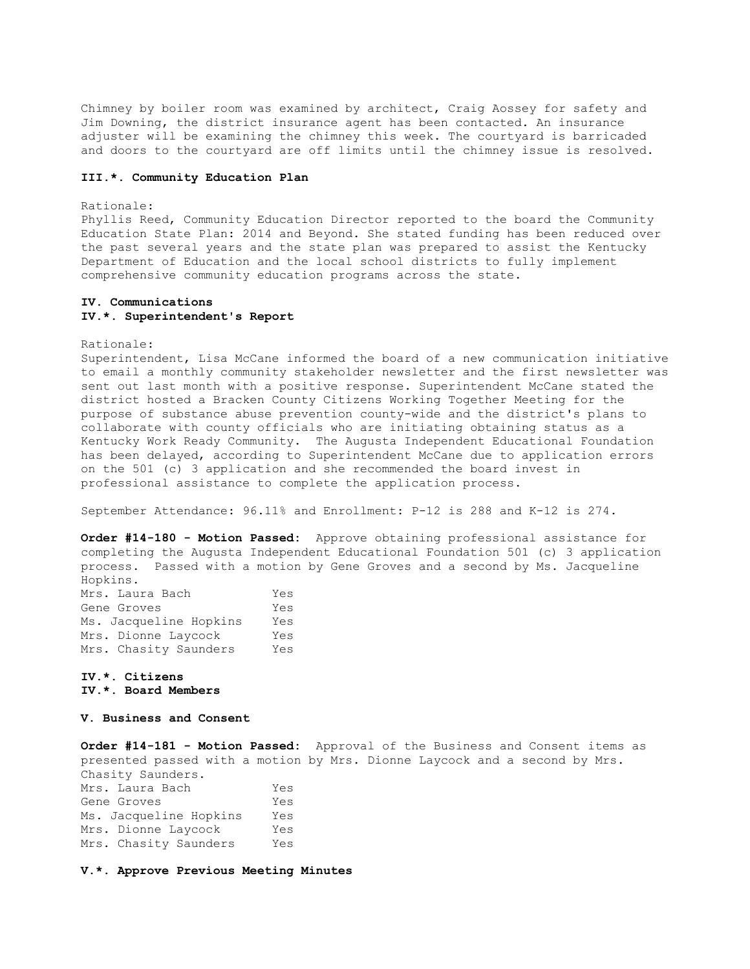Chimney by boiler room was examined by architect, Craig Aossey for safety and Jim Downing, the district insurance agent has been contacted. An insurance adjuster will be examining the chimney this week. The courtyard is barricaded and doors to the courtyard are off limits until the chimney issue is resolved.

### **III.\*. Community Education Plan**

#### Rationale:

Phyllis Reed, Community Education Director reported to the board the Community Education State Plan: 2014 and Beyond. She stated funding has been reduced over the past several years and the state plan was prepared to assist the Kentucky Department of Education and the local school districts to fully implement comprehensive community education programs across the state.

## **IV. Communications IV.\*. Superintendent's Report**

Rationale:

Superintendent, Lisa McCane informed the board of a new communication initiative to email a monthly community stakeholder newsletter and the first newsletter was sent out last month with a positive response. Superintendent McCane stated the district hosted a Bracken County Citizens Working Together Meeting for the purpose of substance abuse prevention county-wide and the district's plans to collaborate with county officials who are initiating obtaining status as a Kentucky Work Ready Community. The Augusta Independent Educational Foundation has been delayed, according to Superintendent McCane due to application errors on the 501 (c) 3 application and she recommended the board invest in professional assistance to complete the application process.

September Attendance: 96.11% and Enrollment: P-12 is 288 and K-12 is 274.

**Order #14-180 - Motion Passed:** Approve obtaining professional assistance for completing the Augusta Independent Educational Foundation 501 (c) 3 application process. Passed with a motion by Gene Groves and a second by Ms. Jacqueline Hopkins.

| Mrs. Laura Bach        | Yes |
|------------------------|-----|
| Gene Groves            | Yes |
| Ms. Jacqueline Hopkins | Yes |
| Mrs. Dionne Laycock    | Yes |
| Mrs. Chasity Saunders  | Yes |

# **IV.\*. Citizens IV.\*. Board Members**

## **V. Business and Consent**

**Order #14-181 - Motion Passed:** Approval of the Business and Consent items as presented passed with a motion by Mrs. Dionne Laycock and a second by Mrs. Chasity Saunders. Mrs. Laura Bach Yes Gene Groves Tes Ms. Jacqueline Hopkins Yes Mrs. Dionne Laycock Yes Mrs. Chasity Saunders Yes

**V.\*. Approve Previous Meeting Minutes**